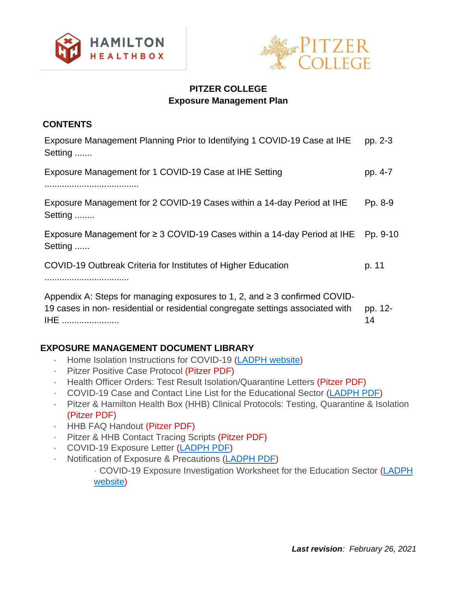



# **PITZER COLLEGE Exposure Management Plan**

## **CONTENTS**

| Exposure Management Planning Prior to Identifying 1 COVID-19 Case at IHE<br>Setting                                                                                             | pp. 2-3       |
|---------------------------------------------------------------------------------------------------------------------------------------------------------------------------------|---------------|
| Exposure Management for 1 COVID-19 Case at IHE Setting                                                                                                                          | pp. 4-7       |
| Exposure Management for 2 COVID-19 Cases within a 14-day Period at IHE<br>Setting                                                                                               | Pp. 8-9       |
| Exposure Management for $\geq$ 3 COVID-19 Cases within a 14-day Period at IHE<br>Setting                                                                                        | Pp. 9-10      |
| COVID-19 Outbreak Criteria for Institutes of Higher Education                                                                                                                   | p. 11         |
| Appendix A: Steps for managing exposures to 1, 2, and $\geq$ 3 confirmed COVID-<br>19 cases in non-residential or residential congregate settings associated with<br><b>IHE</b> | pp. 12-<br>14 |

# **EXPOSURE MANAGEMENT DOCUMENT LIBRARY**

- · Home Isolation Instructions for COVID-19 [\(LADPH website\)](http://www.publichealth.lacounty.gov/acd/ncorona2019/covidisolation/)
- · Pitzer Positive Case Protocol (Pitzer PDF)
- · Health Officer Orders: Test Result Isolation/Quarantine Letters (Pitzer PDF)
- · [COVID-19 Case and Contact Line List for the Educational Sector](http://publichealth.lacounty.gov/acd/Diseases/EpiForms/COVID_OBlinelist_Education_Sector.xlsx) [\(LADPH PDF\)](http://publichealth.lacounty.gov/acd/Diseases/EpiForms/COVID_OBlinelist_Education_Sector.xlsx)
- · Pitzer & Hamilton Health Box (HHB) Clinical Protocols: Testing, Quarantine & Isolation (Pitzer PDF)
- · HHB FAQ Handout (Pitzer PDF)
- · Pitzer & HHB Contact Tracing Scripts (Pitzer PDF)
- · COVID-19 Exposure Letter [\(LADPH PDF\)](http://publichealth.lacounty.gov/acd/Diseases/EpiForms/COVID_TemplateNotificationLetters_Educational_Settings.docx)
- Notification of Exposure & Precautions [\(LADPH PDF\)](http://publichealth.lacounty.gov/acd/Diseases/EpiForms/COVID_TemplateNotificationLetters_Educational_Settings.docx)

· COVID-19 Exposure Investigation Worksheet for the Education Sector [\(LADPH](https://forms.office.com/Pages/ResponsePage.aspx?id=SHJZBzjqG0WKvqY47dusge-BTskrIDZKutXd33EAmu5UQ1VNQ0NDODJSMEpMQUw1MjNSMjNOVlg4VC4u)  [website\)](https://forms.office.com/Pages/ResponsePage.aspx?id=SHJZBzjqG0WKvqY47dusge-BTskrIDZKutXd33EAmu5UQ1VNQ0NDODJSMEpMQUw1MjNSMjNOVlg4VC4u)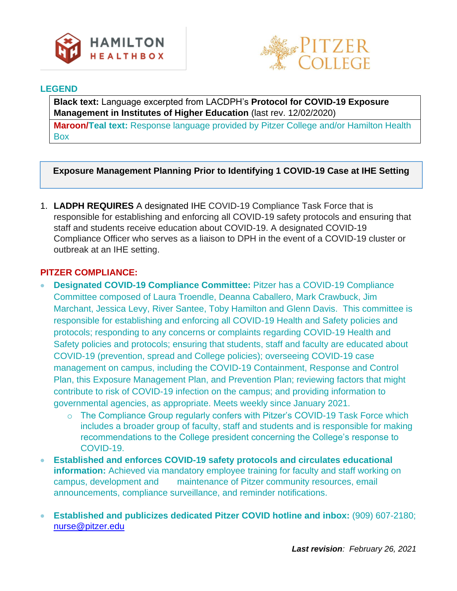



## **LEGEND**

**Black text:** Language excerpted from LACDPH's **Protocol for COVID-19 Exposure Management in Institutes of Higher Education** (last rev. 12/02/2020)

**Maroon/Teal text:** Response language provided by Pitzer College and/or Hamilton Health Box

# **Exposure Management Planning Prior to Identifying 1 COVID-19 Case at IHE Setting**

1. **LADPH REQUIRES** A designated IHE COVID-19 Compliance Task Force that is responsible for establishing and enforcing all COVID-19 safety protocols and ensuring that staff and students receive education about COVID-19. A designated COVID-19 Compliance Officer who serves as a liaison to DPH in the event of a COVID-19 cluster or outbreak at an IHE setting.

- **Designated COVID-19 Compliance Committee:** Pitzer has a COVID-19 Compliance Committee composed of Laura Troendle, Deanna Caballero, Mark Crawbuck, Jim Marchant, Jessica Levy, River Santee, Toby Hamilton and Glenn Davis. This committee is responsible for establishing and enforcing all COVID-19 Health and Safety policies and protocols; responding to any concerns or complaints regarding COVID-19 Health and Safety policies and protocols; ensuring that students, staff and faculty are educated about COVID-19 (prevention, spread and College policies); overseeing COVID-19 case management on campus, including the COVID-19 Containment, Response and Control Plan, this Exposure Management Plan, and Prevention Plan; reviewing factors that might contribute to risk of COVID-19 infection on the campus; and providing information to governmental agencies, as appropriate. Meets weekly since January 2021.
	- o The Compliance Group regularly confers with Pitzer's COVID-19 Task Force which includes a broader group of faculty, staff and students and is responsible for making recommendations to the College president concerning the College's response to COVID-19.
- **Established and enforces COVID-19 safety protocols and circulates educational information:** Achieved via mandatory employee training for faculty and staff working on campus, development and maintenance of Pitzer community resources, email announcements, compliance surveillance, and reminder notifications.
- **Established and publicizes dedicated Pitzer COVID hotline and inbox:** (909) 607-2180; [nurse@pitzer.edu](mailto:nurse@pitzer.edu)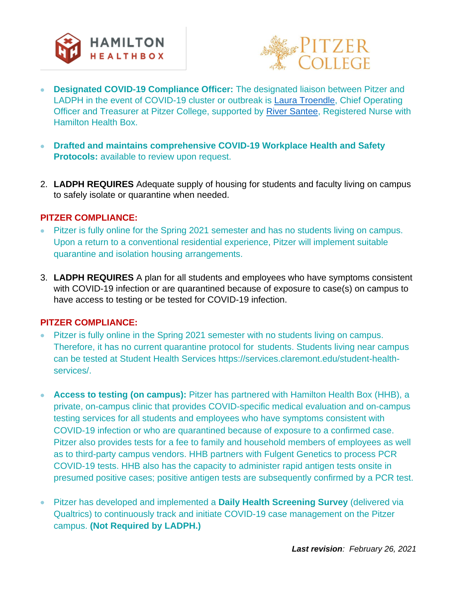



- **Designated COVID-19 Compliance Officer:** The designated liaison between Pitzer and LADPH in the event of COVID-19 cluster or outbreak is Laura Troendle, Chief Operating Officer and Treasurer at Pitzer College, supported by River Santee, Registered Nurse with Hamilton Health Box.
- **Drafted and maintains comprehensive COVID-19 Workplace Health and Safety Protocols:** available to review upon request.
- 2. **LADPH REQUIRES** Adequate supply of housing for students and faculty living on campus to safely isolate or quarantine when needed.

## **PITZER COMPLIANCE:**

- Pitzer is fully online for the Spring 2021 semester and has no students living on campus. Upon a return to a conventional residential experience, Pitzer will implement suitable quarantine and isolation housing arrangements.
- 3. **LADPH REQUIRES** A plan for all students and employees who have symptoms consistent with COVID-19 infection or are quarantined because of exposure to case(s) on campus to have access to testing or be tested for COVID-19 infection.

- Pitzer is fully online in the Spring 2021 semester with no students living on campus. Therefore, it has no current quarantine protocol for students. Students living near campus can be tested at Student Health Services https://services.claremont.edu/student-healthservices/.
- **Access to testing (on campus):** Pitzer has partnered with Hamilton Health Box (HHB), a private, on-campus clinic that provides COVID-specific medical evaluation and on-campus testing services for all students and employees who have symptoms consistent with COVID-19 infection or who are quarantined because of exposure to a confirmed case. Pitzer also provides tests for a fee to family and household members of employees as well as to third-party campus vendors. HHB partners with Fulgent Genetics to process PCR COVID-19 tests. HHB also has the capacity to administer rapid antigen tests onsite in presumed positive cases; positive antigen tests are subsequently confirmed by a PCR test.
- Pitzer has developed and implemented a **Daily Health Screening Survey** (delivered via Qualtrics) to continuously track and initiate COVID-19 case management on the Pitzer campus. **(Not Required by LADPH.)**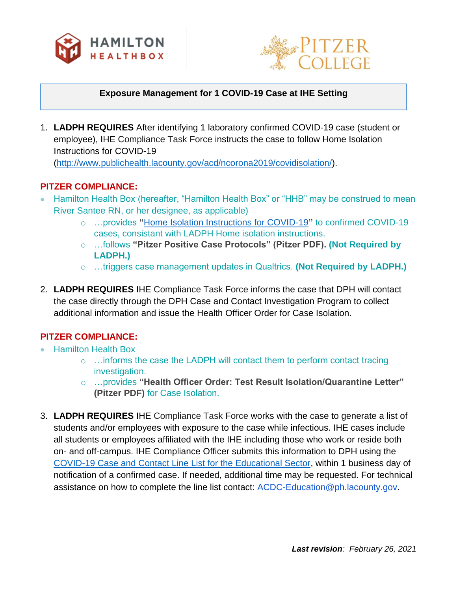



## **Exposure Management for 1 COVID-19 Case at IHE Setting**

1. **LADPH REQUIRES** After identifying 1 laboratory confirmed COVID-19 case (student or employee), IHE Compliance Task Force instructs the case to follow Home Isolation Instructions for COVID-19

[\(http://www.publichealth.lacounty.gov/acd/ncorona2019/covidisolation/\)](http://www.publichealth.lacounty.gov/acd/ncorona2019/covidisolation/).

# **PITZER COMPLIANCE:**

- Hamilton Health Box (hereafter, "Hamilton Health Box" or "HHB" may be construed to mean River Santee RN, or her designee, as applicable)
	- o …provides **"**[Home Isolation Instructions for COVID-19](http://www.publichealth.lacounty.gov/acd/ncorona2019/covidisolation/)**"** to confirmed COVID-19 cases, consistant with LADPH Home isolation instructions.
	- o …follows **"Pitzer Positive Case Protocols" (Pitzer PDF). (Not Required by LADPH.)**
	- o …triggers case management updates in Qualtrics. **(Not Required by LADPH.)**
- 2. **LADPH REQUIRES** IHE Compliance Task Force informs the case that DPH will contact the case directly through the DPH Case and Contact Investigation Program to collect additional information and issue the Health Officer Order for Case Isolation.

- Hamilton Health Box
	- o …informs the case the LADPH will contact them to perform contact tracing investigation.
	- o …provides **"Health Officer Order: Test Result Isolation/Quarantine Letter" (Pitzer PDF)** for Case Isolation.
- 3. **LADPH REQUIRES** IHE Compliance Task Force works with the case to generate a list of students and/or employees with exposure to the case while infectious. IHE cases include all students or employees affiliated with the IHE including those who work or reside both on- and off-campus. IHE Compliance Officer submits this information to DPH using th[e](http://publichealth.lacounty.gov/acd/Diseases/EpiForms/COVID_OBlinelist_Education_Sector.xlsx) [COVID-19 Case and Contact Line List for the Educational Sector,](http://publichealth.lacounty.gov/acd/Diseases/EpiForms/COVID_OBlinelist_Education_Sector.xlsx) within 1 business day of notification of a confirmed case. If needed, additional time may be requested. For technical assistance on how to complete the line list contact: ACDC-Education@ph.lacounty.gov.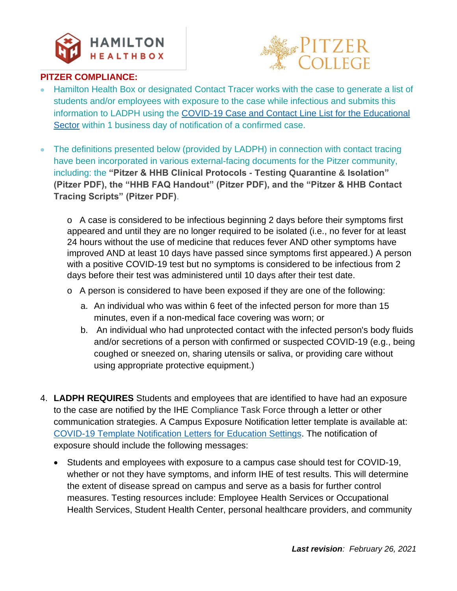

# **ALLEGE**

# **PITZER COMPLIANCE:**

- Hamilton Health Box or designated Contact Tracer works with the case to generate a list of students and/or employees with exposure to the case while infectious and submits this information to LADPH using the [COVID-19 Case and Contact Line List for the Educational](http://publichealth.lacounty.gov/acd/Diseases/EpiForms/COVID_OBlinelist_Education_Sector.xlsx)  [Sector](http://publichealth.lacounty.gov/acd/Diseases/EpiForms/COVID_OBlinelist_Education_Sector.xlsx) within 1 business day of notification of a confirmed case.
- The definitions presented below (provided by LADPH) in connection with contact tracing have been incorporated in various external-facing documents for the Pitzer community, including: the **"Pitzer & HHB Clinical Protocols - Testing Quarantine & Isolation" (Pitzer PDF), the "HHB FAQ Handout" (Pitzer PDF), and the "Pitzer & HHB Contact Tracing Scripts" (Pitzer PDF)**.

o A case is considered to be infectious beginning 2 days before their symptoms first appeared and until they are no longer required to be isolated (i.e., no fever for at least 24 hours without the use of medicine that reduces fever AND other symptoms have improved AND at least 10 days have passed since symptoms first appeared.) A person with a positive COVID-19 test but no symptoms is considered to be infectious from 2 days before their test was administered until 10 days after their test date.

- o A person is considered to have been exposed if they are one of the following:
	- a. An individual who was within 6 feet of the infected person for more than 15 minutes, even if a non-medical face covering was worn; or
	- b. An individual who had unprotected contact with the infected person's body fluids and/or secretions of a person with confirmed or suspected COVID-19 (e.g., being coughed or sneezed on, sharing utensils or saliva, or providing care without using appropriate protective equipment.)
- 4. **LADPH REQUIRES** Students and employees that are identified to have had an exposure to the case are notified by the IHE Compliance Task Force through a letter or other communication strategies. A Campus Exposure Notification letter template is available at[:](http://publichealth.lacounty.gov/acd/Diseases/EpiForms/COVID_TemplateNotificationLetters_Educational_Settings.docx) [COVID-19 Template Notification Letters for](http://publichealth.lacounty.gov/acd/Diseases/EpiForms/COVID_TemplateNotificationLetters_Educational_Settings.docx) Education Settings. The notification of exposure should include the following messages:
	- Students and employees with exposure to a campus case should test for COVID-19, whether or not they have symptoms, and inform IHE of test results. This will determine the extent of disease spread on campus and serve as a basis for further control measures. Testing resources include: Employee Health Services or Occupational Health Services, Student Health Center, personal healthcare providers, and community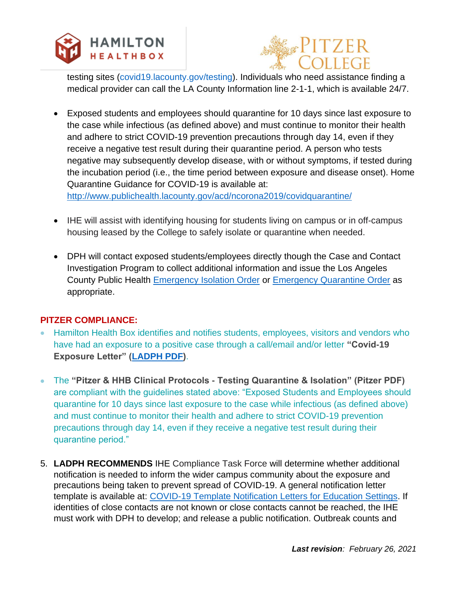



testing sites (covid19.lacounty.gov/testing). Individuals who need assistance finding a medical provider can call the LA County Information line 2-1-1, which is available 24/7.

• Exposed students and employees should quarantine for 10 days since last exposure to the case while infectious (as defined above) and must continue to monitor their health and adhere to strict COVID-19 prevention precautions through day 14, even if they receive a negative test result during their quarantine period. A person who tests negative may subsequently develop disease, with or without symptoms, if tested during the incubation period (i.e., the time period between exposure and disease onset). Home Quarantine Guidance for COVID-19 is available at[:](http://www.publichealth.lacounty.gov/acd/ncorona2019/covidquarantine/)

<http://www.publichealth.lacounty.gov/acd/ncorona2019/covidquarantine/>

- IHE will assist with identifying housing for students living on campus or in off-campus housing leased by the College to safely isolate or quarantine when needed.
- DPH will contact exposed students/employees directly though the Case and Contact Investigation Program to collect additional information and issue the Los Angeles County Public Health [Emergency Isolation Order](http://www.publichealth.lacounty.gov/media/Coronavirus/docs/HOO/HOO_Coronavirus_Blanket_Isolation.pdf) or [Emergency Quarantine Order](http://www.publichealth.lacounty.gov/media/Coronavirus/docs/HOO/HOO_Coronavirus_Blanket_Quarantine.pdf) as appropriate.

- Hamilton Health Box identifies and notifies students, employees, visitors and vendors who have had an exposure to a positive case through a call/email and/or letter **"Covid-19 Exposure Letter" [\(LADPH PDF\)](http://publichealth.lacounty.gov/acd/Diseases/EpiForms/COVID_TemplateNotificationLetters_Educational_Settings.docx)**.
- The **"Pitzer & HHB Clinical Protocols - Testing Quarantine & Isolation" (Pitzer PDF)**  are compliant with the guidelines stated above: "Exposed Students and Employees should quarantine for 10 days since last exposure to the case while infectious (as defined above) and must continue to monitor their health and adhere to strict COVID-19 prevention precautions through day 14, even if they receive a negative test result during their quarantine period."
- 5. **LADPH RECOMMENDS** IHE Compliance Task Force will determine whether additional notification is needed to inform the wider campus community about the exposure and precautions being taken to prevent spread of COVID-19. A general notification letter template is available at[:](http://publichealth.lacounty.gov/acd/Diseases/EpiForms/COVID_TemplateNotificationLetters_Educational_Settings.docx) [COVID-19 Template Notification Letters for Education Settings.](http://publichealth.lacounty.gov/acd/Diseases/EpiForms/COVID_TemplateNotificationLetters_Educational_Settings.docx) If identities of close contacts are not known or close contacts cannot be reached, the IHE must work with DPH to develop; and release a public notification. Outbreak counts and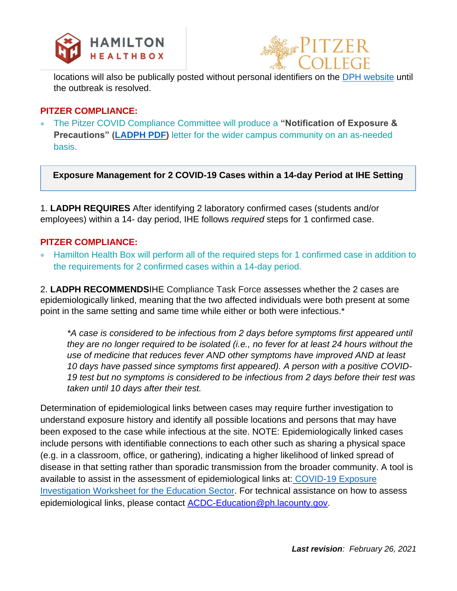



locations will also b[e](http://www.publichealth.lacounty.gov/media/Coronavirus/locations.htM#educational-settings) publically posted without personal identifiers on the **DPH** website until the outbreak is resolved.

## **PITZER COMPLIANCE:**

• The Pitzer COVID Compliance Committee will produce a **"Notification of Exposure & Precautions" [\(LADPH PDF\)](http://publichealth.lacounty.gov/acd/Diseases/EpiForms/COVID_TemplateNotificationLetters_Educational_Settings.docx)** letter for the wider campus community on an as-needed basis.

**Exposure Management for 2 COVID-19 Cases within a 14-day Period at IHE Setting**

1. **LADPH REQUIRES** After identifying 2 laboratory confirmed cases (students and/or employees) within a 14- day period, IHE follows *required* steps for 1 confirmed case.

## **PITZER COMPLIANCE:**

• Hamilton Health Box will perform all of the required steps for 1 confirmed case in addition to the requirements for 2 confirmed cases within a 14-day period.

2. **LADPH RECOMMENDS**IHE Compliance Task Force assesses whether the 2 cases are epidemiologically linked, meaning that the two affected individuals were both present at some point in the same setting and same time while either or both were infectious.\*

*\*A case is considered to be infectious from 2 days before symptoms first appeared until they are no longer required to be isolated (i.e., no fever for at least 24 hours without the use of medicine that reduces fever AND other symptoms have improved AND at least 10 days have passed since symptoms first appeared). A person with a positive COVID-19 test but no symptoms is considered to be infectious from 2 days before their test was taken until 10 days after their test.*

Determination of epidemiological links between cases may require further investigation to understand exposure history and identify all possible locations and persons that may have been exposed to the case while infectious at the site. NOTE: Epidemiologically linked cases include persons with identifiable connections to each other such as sharing a physical space (e.g. in a classroom, office, or gathering), indicating a higher likelihood of linked spread of disease in that setting rather than sporadic transmission from the broader community. A tool is available to assist in the assessment of epidemiological links at: COVID-19 Exposure [Investigation Worksheet for the Education Sector.](http://publichealth.lacounty.gov/acd/Diseases/EpiForms/COVID_ExposureInvestigation_Education_Sector.pdf) For technical assistance on how to assess epidemiological links, please contact [ACDC-Education@ph.lacounty.gov.](mailto:ACDC-Education@ph.lacounty.gov)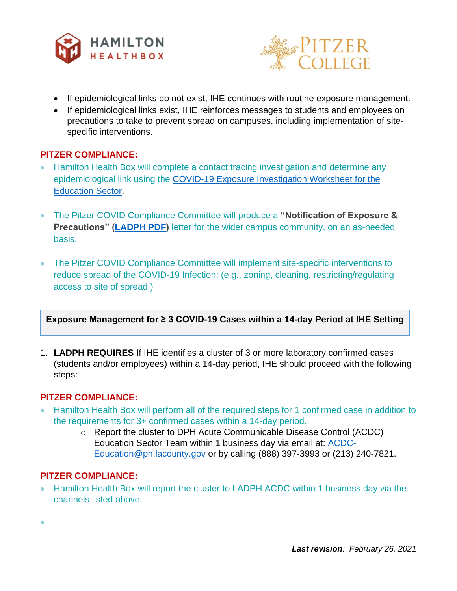



- If epidemiological links do not exist, IHE continues with routine exposure management.
- If epidemiological links exist, IHE reinforces messages to students and employees on precautions to take to prevent spread on campuses, including implementation of sitespecific interventions.

## **PITZER COMPLIANCE:**

- Hamilton Health Box will complete a contact tracing investigation and determine any epidemiological link using the [COVID-19 Exposure Investigation Worksheet for the](http://publichealth.lacounty.gov/acd/Diseases/EpiForms/COVID_ExposureInvestigation_Education_Sector.pdf)  [Education Sector.](http://publichealth.lacounty.gov/acd/Diseases/EpiForms/COVID_ExposureInvestigation_Education_Sector.pdf)
- The Pitzer COVID Compliance Committee will produce a **"Notification of Exposure & Precautions" [\(LADPH PDF\)](http://publichealth.lacounty.gov/acd/Diseases/EpiForms/COVID_TemplateNotificationLetters_Educational_Settings.docx)** letter for the wider campus community, on an as-needed basis.
- The Pitzer COVID Compliance Committee will implement site-specific interventions to reduce spread of the COVID-19 Infection: (e.g., zoning, cleaning, restricting/regulating access to site of spread.)

## **Exposure Management for ≥ 3 COVID-19 Cases within a 14-day Period at IHE Setting**

1. **LADPH REQUIRES** If IHE identifies a cluster of 3 or more laboratory confirmed cases (students and/or employees) within a 14-day period, IHE should proceed with the following steps:

## **PITZER COMPLIANCE:**

- Hamilton Health Box will perform all of the required steps for 1 confirmed case in addition to the requirements for 3+ confirmed cases within a 14-day period.
	- o Report the cluster to DPH Acute Communicable Disease Control (ACDC) Education Sector Team within 1 business day via email at: ACDC-Education@ph.lacounty.gov or by calling (888) 397-3993 or (213) 240-7821.

## **PITZER COMPLIANCE:**

•

• Hamilton Health Box will report the cluster to LADPH ACDC within 1 business day via the channels listed above.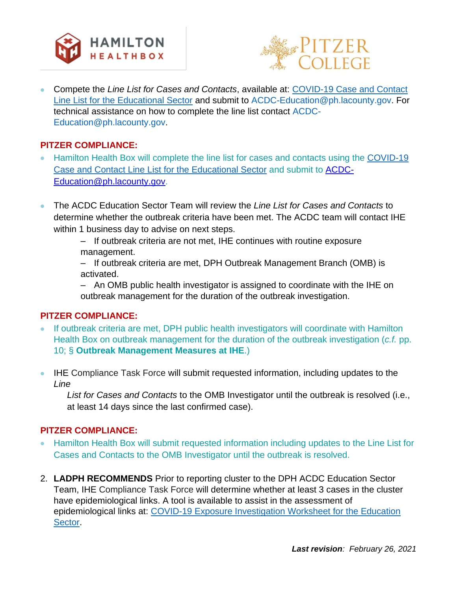



• Compete the *Line List for Cases and Contacts*, available at: [COVID-19 Case and Contact](http://publichealth.lacounty.gov/acd/Diseases/EpiForms/COVID_OBlinelist_Education_Sector.xlsx)  [Line List for the Educational Sector](http://publichealth.lacounty.gov/acd/Diseases/EpiForms/COVID_OBlinelist_Education_Sector.xlsx) and submit to ACDC-Education@ph.lacounty.gov. For technical assistance on how to complete the line list contact ACDC-Education@ph.lacounty.gov.

## **PITZER COMPLIANCE:**

- Hamilton Health Box will complete the line list for cases and contacts using th[e](http://publichealth.lacounty.gov/acd/Diseases/EpiForms/COVID_OBlinelist_Education_Sector.xlsx) [COVID-19](http://publichealth.lacounty.gov/acd/Diseases/EpiForms/COVID_OBlinelist_Education_Sector.xlsx)  [Case and Contact Line List for the Educational Sector](http://publichealth.lacounty.gov/acd/Diseases/EpiForms/COVID_OBlinelist_Education_Sector.xlsx) and submit to [ACDC-](mailto:ACDC-Education@ph.lacounty.gov)[Education@ph.lacounty.gov.](mailto:ACDC-Education@ph.lacounty.gov)
- The ACDC Education Sector Team will review the *Line List for Cases and Contacts* to determine whether the outbreak criteria have been met. The ACDC team will contact IHE within 1 business day to advise on next steps.
	- If outbreak criteria are not met, IHE continues with routine exposure management.
	- If outbreak criteria are met, DPH Outbreak Management Branch (OMB) is activated.

– An OMB public health investigator is assigned to coordinate with the IHE on outbreak management for the duration of the outbreak investigation.

# **PITZER COMPLIANCE:**

- If outbreak criteria are met, DPH public health investigators will coordinate with Hamilton Health Box on outbreak management for the duration of the outbreak investigation (*c.f.* pp. 10; § **Outbreak Management Measures at IHE**.)
- IHE Compliance Task Force will submit requested information, including updates to the *Line*

*List for Cases and Contacts* to the OMB Investigator until the outbreak is resolved (i.e., at least 14 days since the last confirmed case).

- Hamilton Health Box will submit requested information including updates to the Line List for Cases and Contacts to the OMB Investigator until the outbreak is resolved.
- 2. **LADPH RECOMMENDS** Prior to reporting cluster to the DPH ACDC Education Sector Team, IHE Compliance Task Force will determine whether at least 3 cases in the cluster have epidemiological links. A tool is available to assist in the assessment of epidemiological links at[:](http://publichealth.lacounty.gov/acd/Diseases/EpiForms/COVID_ExposureInvestigation_Education_Sector.pdf) [COVID-19 Exposure Investigation Worksheet for the Education](http://publichealth.lacounty.gov/acd/Diseases/EpiForms/COVID_ExposureInvestigation_Education_Sector.pdf)  [Sector.](http://publichealth.lacounty.gov/acd/Diseases/EpiForms/COVID_ExposureInvestigation_Education_Sector.pdf)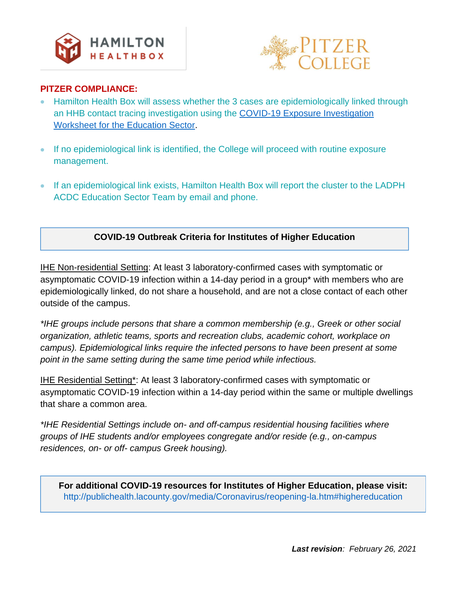



## **PITZER COMPLIANCE:**

- Hamilton Health Box will assess whether the 3 cases are epidemiologically linked through an HHB contact tracing investigation using th[e](http://publichealth.lacounty.gov/acd/Diseases/EpiForms/COVID_ExposureInvestigation_Education_Sector.pdf) [COVID-19 Exposure Investigation](http://publichealth.lacounty.gov/acd/Diseases/EpiForms/COVID_ExposureInvestigation_Education_Sector.pdf)  [Worksheet for the Education Sector.](http://publichealth.lacounty.gov/acd/Diseases/EpiForms/COVID_ExposureInvestigation_Education_Sector.pdf)
- If no epidemiological link is identified, the College will proceed with routine exposure management.
- If an epidemiological link exists, Hamilton Health Box will report the cluster to the LADPH ACDC Education Sector Team by email and phone.

# **COVID-19 Outbreak Criteria for Institutes of Higher Education**

IHE Non-residential Setting: At least 3 laboratory-confirmed cases with symptomatic or asymptomatic COVID-19 infection within a 14-day period in a group\* with members who are epidemiologically linked, do not share a household, and are not a close contact of each other outside of the campus.

*\*IHE groups include persons that share a common membership (e.g., Greek or other social organization, athletic teams, sports and recreation clubs, academic cohort, workplace on campus). Epidemiological links require the infected persons to have been present at some point in the same setting during the same time period while infectious.*

IHE Residential Setting\*: At least 3 laboratory-confirmed cases with symptomatic or asymptomatic COVID-19 infection within a 14-day period within the same or multiple dwellings that share a common area.

*\*IHE Residential Settings include on- and off-campus residential housing facilities where groups of IHE students and/or employees congregate and/or reside (e.g., on-campus residences, on- or off- campus Greek housing).*

**For additional COVID-19 resources for Institutes of Higher Education, please visit:**  http://publichealth.lacounty.gov/media/Coronavirus/reopening-la.htm#highereducation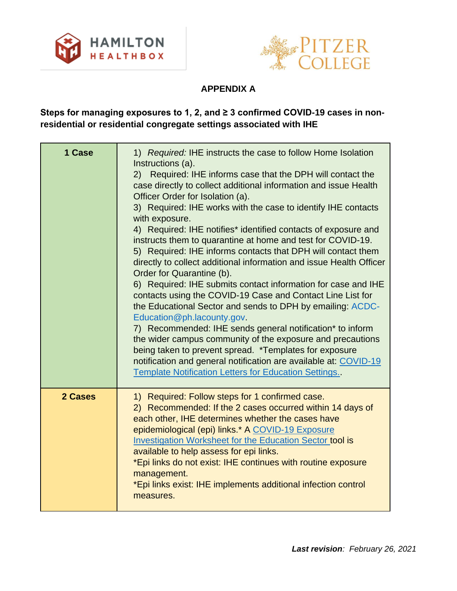



# **APPENDIX A**

# **Steps for managing exposures to 1, 2, and ≥ 3 confirmed COVID-19 cases in nonresidential or residential congregate settings associated with IHE**

| 1 Case  | 1) Required: IHE instructs the case to follow Home Isolation<br>Instructions (a).<br>Required: IHE informs case that the DPH will contact the<br>(2)<br>case directly to collect additional information and issue Health<br>Officer Order for Isolation (a).<br>3) Required: IHE works with the case to identify IHE contacts<br>with exposure.<br>4) Required: IHE notifies* identified contacts of exposure and<br>instructs them to quarantine at home and test for COVID-19.<br>5) Required: IHE informs contacts that DPH will contact them<br>directly to collect additional information and issue Health Officer<br>Order for Quarantine (b).<br>6) Required: IHE submits contact information for case and IHE<br>contacts using the COVID-19 Case and Contact Line List for<br>the Educational Sector and sends to DPH by emailing: ACDC-<br>Education@ph.lacounty.gov.<br>7) Recommended: IHE sends general notification* to inform<br>the wider campus community of the exposure and precautions<br>being taken to prevent spread. *Templates for exposure<br>notification and general notification are available at: COVID-19<br><b>Template Notification Letters for Education Settings.</b> |
|---------|----------------------------------------------------------------------------------------------------------------------------------------------------------------------------------------------------------------------------------------------------------------------------------------------------------------------------------------------------------------------------------------------------------------------------------------------------------------------------------------------------------------------------------------------------------------------------------------------------------------------------------------------------------------------------------------------------------------------------------------------------------------------------------------------------------------------------------------------------------------------------------------------------------------------------------------------------------------------------------------------------------------------------------------------------------------------------------------------------------------------------------------------------------------------------------------------------------|
| 2 Cases | 1) Required: Follow steps for 1 confirmed case.<br>2) Recommended: If the 2 cases occurred within 14 days of<br>each other, IHE determines whether the cases have<br>epidemiological (epi) links.* A COVID-19 Exposure<br><b>Investigation Worksheet for the Education Sector tool is</b><br>available to help assess for epi links.<br>*Epi links do not exist: IHE continues with routine exposure<br>management.<br>*Epi links exist: IHE implements additional infection control<br>measures.                                                                                                                                                                                                                                                                                                                                                                                                                                                                                                                                                                                                                                                                                                        |